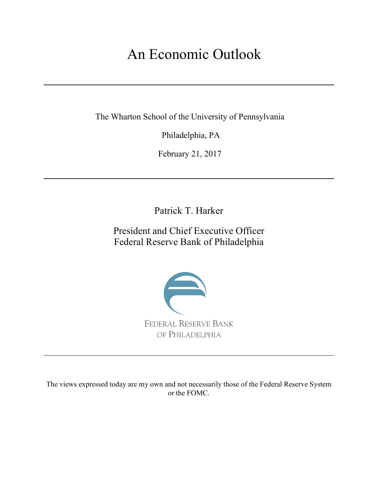# An Economic Outlook

The Wharton School of the University of Pennsylvania

Philadelphia, PA

February 21, 2017

Patrick T. Harker

President and Chief Executive Officer Federal Reserve Bank of Philadelphia



The views expressed today are my own and not necessarily those of the Federal Reserve System or the FOMC.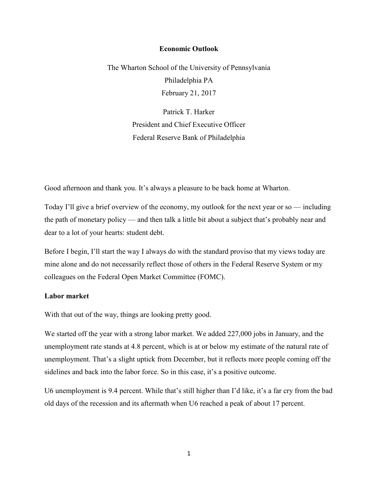#### **Economic Outlook**

The Wharton School of the University of Pennsylvania Philadelphia PA February 21, 2017

> Patrick T. Harker President and Chief Executive Officer Federal Reserve Bank of Philadelphia

Good afternoon and thank you. It's always a pleasure to be back home at Wharton.

Today I'll give a brief overview of the economy, my outlook for the next year or so — including the path of monetary policy — and then talk a little bit about a subject that's probably near and dear to a lot of your hearts: student debt.

Before I begin, I'll start the way I always do with the standard proviso that my views today are mine alone and do not necessarily reflect those of others in the Federal Reserve System or my colleagues on the Federal Open Market Committee (FOMC).

#### **Labor market**

With that out of the way, things are looking pretty good.

We started off the year with a strong labor market. We added 227,000 jobs in January, and the unemployment rate stands at 4.8 percent, which is at or below my estimate of the natural rate of unemployment. That's a slight uptick from December, but it reflects more people coming off the sidelines and back into the labor force. So in this case, it's a positive outcome.

U6 unemployment is 9.4 percent. While that's still higher than I'd like, it's a far cry from the bad old days of the recession and its aftermath when U6 reached a peak of about 17 percent.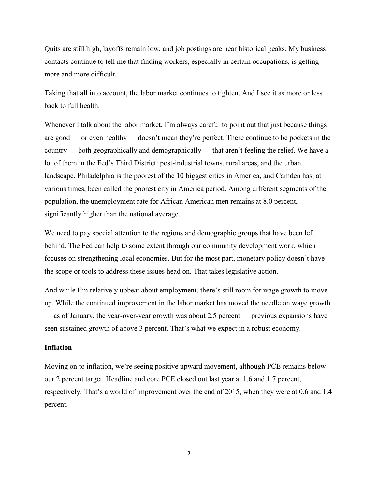Quits are still high, layoffs remain low, and job postings are near historical peaks. My business contacts continue to tell me that finding workers, especially in certain occupations, is getting more and more difficult.

Taking that all into account, the labor market continues to tighten. And I see it as more or less back to full health.

Whenever I talk about the labor market, I'm always careful to point out that just because things are good — or even healthy — doesn't mean they're perfect. There continue to be pockets in the country — both geographically and demographically — that aren't feeling the relief. We have a lot of them in the Fed's Third District: post-industrial towns, rural areas, and the urban landscape. Philadelphia is the poorest of the 10 biggest cities in America, and Camden has, at various times, been called the poorest city in America period. Among different segments of the population, the unemployment rate for African American men remains at 8.0 percent, significantly higher than the national average.

We need to pay special attention to the regions and demographic groups that have been left behind. The Fed can help to some extent through our community development work, which focuses on strengthening local economies. But for the most part, monetary policy doesn't have the scope or tools to address these issues head on. That takes legislative action.

And while I'm relatively upbeat about employment, there's still room for wage growth to move up. While the continued improvement in the labor market has moved the needle on wage growth — as of January, the year-over-year growth was about 2.5 percent — previous expansions have seen sustained growth of above 3 percent. That's what we expect in a robust economy.

# **Inflation**

Moving on to inflation, we're seeing positive upward movement, although PCE remains below our 2 percent target. Headline and core PCE closed out last year at 1.6 and 1.7 percent, respectively. That's a world of improvement over the end of 2015, when they were at 0.6 and 1.4 percent.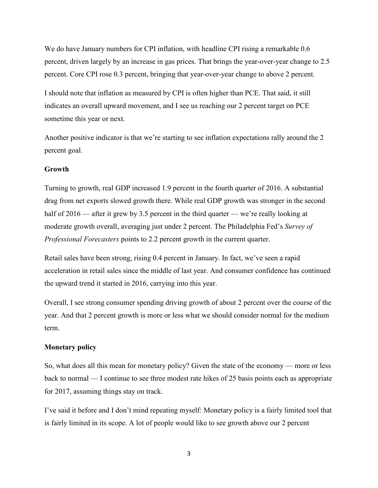We do have January numbers for CPI inflation, with headline CPI rising a remarkable 0.6 percent, driven largely by an increase in gas prices. That brings the year-over-year change to 2.5 percent. Core CPI rose 0.3 percent, bringing that year-over-year change to above 2 percent.

I should note that inflation as measured by CPI is often higher than PCE. That said, it still indicates an overall upward movement, and I see us reaching our 2 percent target on PCE sometime this year or next.

Another positive indicator is that we're starting to see inflation expectations rally around the 2 percent goal.

# **Growth**

Turning to growth, real GDP increased 1.9 percent in the fourth quarter of 2016. A substantial drag from net exports slowed growth there. While real GDP growth was stronger in the second half of 2016 — after it grew by 3.5 percent in the third quarter — we're really looking at moderate growth overall, averaging just under 2 percent. The Philadelphia Fed's *Survey of Professional Forecasters* points to 2.2 percent growth in the current quarter.

Retail sales have been strong, rising 0.4 percent in January. In fact, we've seen a rapid acceleration in retail sales since the middle of last year. And consumer confidence has continued the upward trend it started in 2016, carrying into this year.

Overall, I see strong consumer spending driving growth of about 2 percent over the course of the year. And that 2 percent growth is more or less what we should consider normal for the medium term.

#### **Monetary policy**

So, what does all this mean for monetary policy? Given the state of the economy — more or less back to normal — I continue to see three modest rate hikes of 25 basis points each as appropriate for 2017, assuming things stay on track.

I've said it before and I don't mind repeating myself: Monetary policy is a fairly limited tool that is fairly limited in its scope. A lot of people would like to see growth above our 2 percent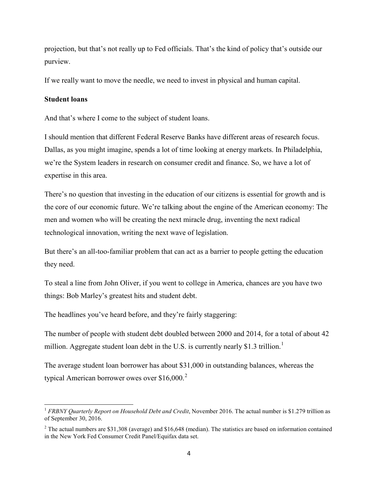projection, but that's not really up to Fed officials. That's the kind of policy that's outside our purview.

If we really want to move the needle, we need to invest in physical and human capital.

# **Student loans**

l

And that's where I come to the subject of student loans.

I should mention that different Federal Reserve Banks have different areas of research focus. Dallas, as you might imagine, spends a lot of time looking at energy markets. In Philadelphia, we're the System leaders in research on consumer credit and finance. So, we have a lot of expertise in this area.

There's no question that investing in the education of our citizens is essential for growth and is the core of our economic future. We're talking about the engine of the American economy: The men and women who will be creating the next miracle drug, inventing the next radical technological innovation, writing the next wave of legislation.

But there's an all-too-familiar problem that can act as a barrier to people getting the education they need.

To steal a line from John Oliver, if you went to college in America, chances are you have two things: Bob Marley's greatest hits and student debt.

The headlines you've heard before, and they're fairly staggering:

The number of people with student debt doubled between 2000 and 2014, for a total of about 42 million. Aggregate student loan debt in the U.S. is currently nearly \$[1](#page-4-0).3 trillion.<sup>1</sup>

The average student loan borrower has about \$31,000 in outstanding balances, whereas the typical American borrower owes over  $$16,000.<sup>2</sup>$  $$16,000.<sup>2</sup>$  $$16,000.<sup>2</sup>$ 

<span id="page-4-0"></span><sup>&</sup>lt;sup>1</sup> *FRBNY Quarterly Report on Household Debt and Credit*, November 2016. The actual number is \$1.279 trillion as of September 30, 2016.

<span id="page-4-1"></span><sup>&</sup>lt;sup>2</sup> The actual numbers are \$31,308 (average) and \$16,648 (median). The statistics are based on information contained in the New York Fed Consumer Credit Panel/Equifax data set.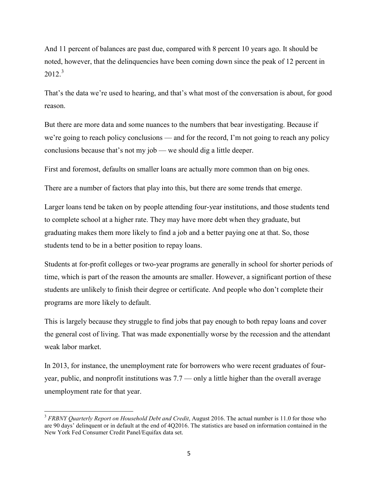And 11 percent of balances are past due, compared with 8 percent 10 years ago. It should be noted, however, that the delinquencies have been coming down since the peak of 12 percent in  $2012.<sup>3</sup>$  $2012.<sup>3</sup>$  $2012.<sup>3</sup>$ 

That's the data we're used to hearing, and that's what most of the conversation is about, for good reason.

But there are more data and some nuances to the numbers that bear investigating. Because if we're going to reach policy conclusions — and for the record, I'm not going to reach any policy conclusions because that's not my job — we should dig a little deeper.

First and foremost, defaults on smaller loans are actually more common than on big ones.

There are a number of factors that play into this, but there are some trends that emerge.

Larger loans tend be taken on by people attending four-year institutions, and those students tend to complete school at a higher rate. They may have more debt when they graduate, but graduating makes them more likely to find a job and a better paying one at that. So, those students tend to be in a better position to repay loans.

Students at for-profit colleges or two-year programs are generally in school for shorter periods of time, which is part of the reason the amounts are smaller. However, a significant portion of these students are unlikely to finish their degree or certificate. And people who don't complete their programs are more likely to default.

This is largely because they struggle to find jobs that pay enough to both repay loans and cover the general cost of living. That was made exponentially worse by the recession and the attendant weak labor market.

In 2013, for instance, the unemployment rate for borrowers who were recent graduates of fouryear, public, and nonprofit institutions was 7.7 — only a little higher than the overall average unemployment rate for that year.

l

<span id="page-5-0"></span><sup>3</sup> *FRBNY Quarterly Report on Household Debt and Credit*, August 2016. The actual number is 11.0 for those who are 90 days' delinquent or in default at the end of 4Q2016. The statistics are based on information contained in the New York Fed Consumer Credit Panel/Equifax data set.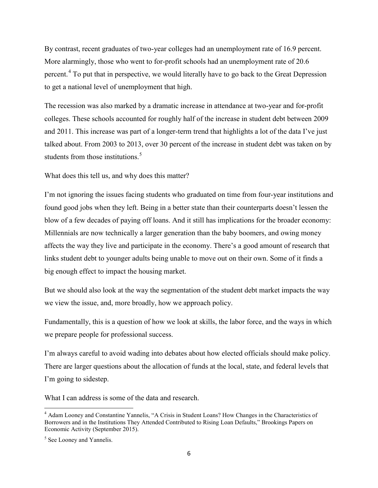By contrast, recent graduates of two-year colleges had an unemployment rate of 16.9 percent. More alarmingly, those who went to for-profit schools had an unemployment rate of 20.6 percent.<sup>[4](#page-6-0)</sup> To put that in perspective, we would literally have to go back to the Great Depression to get a national level of unemployment that high.

The recession was also marked by a dramatic increase in attendance at two-year and for-profit colleges. These schools accounted for roughly half of the increase in student debt between 2009 and 2011. This increase was part of a longer-term trend that highlights a lot of the data I've just talked about. From 2003 to 2013, over 30 percent of the increase in student debt was taken on by students from those institutions.<sup>[5](#page-6-1)</sup>

What does this tell us, and why does this matter?

I'm not ignoring the issues facing students who graduated on time from four-year institutions and found good jobs when they left. Being in a better state than their counterparts doesn't lessen the blow of a few decades of paying off loans. And it still has implications for the broader economy: Millennials are now technically a larger generation than the baby boomers, and owing money affects the way they live and participate in the economy. There's a good amount of research that links student debt to younger adults being unable to move out on their own. Some of it finds a big enough effect to impact the housing market.

But we should also look at the way the segmentation of the student debt market impacts the way we view the issue, and, more broadly, how we approach policy.

Fundamentally, this is a question of how we look at skills, the labor force, and the ways in which we prepare people for professional success.

I'm always careful to avoid wading into debates about how elected officials should make policy. There are larger questions about the allocation of funds at the local, state, and federal levels that I'm going to sidestep.

What I can address is some of the data and research.

<span id="page-6-0"></span>l <sup>4</sup> Adam Looney and Constantine Yannelis, "A Crisis in Student Loans? How Changes in the Characteristics of Borrowers and in the Institutions They Attended Contributed to Rising Loan Defaults," Brookings Papers on Economic Activity (September 2015).

<span id="page-6-1"></span><sup>&</sup>lt;sup>5</sup> See Looney and Yannelis.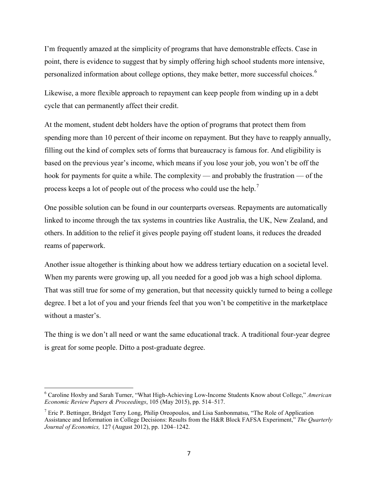I'm frequently amazed at the simplicity of programs that have demonstrable effects. Case in point, there is evidence to suggest that by simply offering high school students more intensive, personalized information about college options, they make better, more successful choices.<sup>[6](#page-7-0)</sup>

Likewise, a more flexible approach to repayment can keep people from winding up in a debt cycle that can permanently affect their credit.

At the moment, student debt holders have the option of programs that protect them from spending more than 10 percent of their income on repayment. But they have to reapply annually, filling out the kind of complex sets of forms that bureaucracy is famous for. And eligibility is based on the previous year's income, which means if you lose your job, you won't be off the hook for payments for quite a while. The complexity — and probably the frustration — of the process keeps a lot of people out of the process who could use the help.[7](#page-7-1)

One possible solution can be found in our counterparts overseas. Repayments are automatically linked to income through the tax systems in countries like Australia, the UK, New Zealand, and others. In addition to the relief it gives people paying off student loans, it reduces the dreaded reams of paperwork.

Another issue altogether is thinking about how we address tertiary education on a societal level. When my parents were growing up, all you needed for a good job was a high school diploma. That was still true for some of my generation, but that necessity quickly turned to being a college degree. I bet a lot of you and your friends feel that you won't be competitive in the marketplace without a master's.

The thing is we don't all need or want the same educational track. A traditional four-year degree is great for some people. Ditto a post-graduate degree.

 $\overline{\phantom{a}}$ 

<span id="page-7-0"></span><sup>6</sup> Caroline Hoxby and Sarah Turner, "What High-Achieving Low-Income Students Know about College," *American Economic Review Papers & Proceedings*, 105 (May 2015), pp. 514–517.

<span id="page-7-1"></span><sup>&</sup>lt;sup>7</sup> Eric P. Bettinger, Bridget Terry Long, Philip Oreopoulos, and Lisa Sanbonmatsu, "The Role of Application" Assistance and Information in College Decisions: Results from the H&R Block FAFSA Experiment," *The Quarterly Journal of Economics,* 127 (August 2012), pp. 1204–1242.